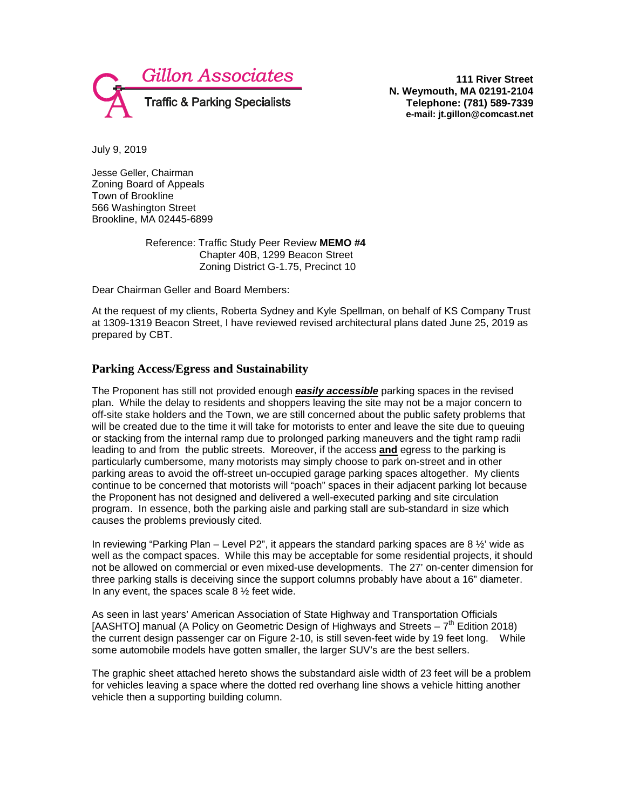

**111 River Street N. Weymouth, MA 02191-2104 Telephone: (781) 589-7339 e-mail: jt.gillon@comcast.net**

July 9, 2019

Jesse Geller, Chairman Zoning Board of Appeals Town of Brookline 566 Washington Street Brookline, MA 02445-6899

> Reference: Traffic Study Peer Review **MEMO #4** Chapter 40B, 1299 Beacon Street Zoning District G-1.75, Precinct 10

Dear Chairman Geller and Board Members:

At the request of my clients, Roberta Sydney and Kyle Spellman, on behalf of KS Company Trust at 1309-1319 Beacon Street, I have reviewed revised architectural plans dated June 25, 2019 as prepared by CBT.

## **Parking Access/Egress and Sustainability**

The Proponent has still not provided enough *easily accessible* parking spaces in the revised plan. While the delay to residents and shoppers leaving the site may not be a major concern to off-site stake holders and the Town, we are still concerned about the public safety problems that will be created due to the time it will take for motorists to enter and leave the site due to queuing or stacking from the internal ramp due to prolonged parking maneuvers and the tight ramp radii leading to and from the public streets. Moreover, if the access **and** egress to the parking is particularly cumbersome, many motorists may simply choose to park on-street and in other parking areas to avoid the off-street un-occupied garage parking spaces altogether. My clients continue to be concerned that motorists will "poach" spaces in their adjacent parking lot because the Proponent has not designed and delivered a well-executed parking and site circulation program. In essence, both the parking aisle and parking stall are sub-standard in size which causes the problems previously cited.

In reviewing "Parking Plan – Level P2", it appears the standard parking spaces are  $8\frac{1}{2}$  wide as well as the compact spaces. While this may be acceptable for some residential projects, it should not be allowed on commercial or even mixed-use developments. The 27' on-center dimension for three parking stalls is deceiving since the support columns probably have about a 16" diameter. In any event, the spaces scale  $8\frac{1}{2}$  feet wide.

As seen in last years' American Association of State Highway and Transportation Officials [AASHTO] manual (A Policy on Geometric Design of Highways and Streets –  $7^{th}$  Edition 2018) the current design passenger car on Figure 2-10, is still seven-feet wide by 19 feet long. While some automobile models have gotten smaller, the larger SUV's are the best sellers.

The graphic sheet attached hereto shows the substandard aisle width of 23 feet will be a problem for vehicles leaving a space where the dotted red overhang line shows a vehicle hitting another vehicle then a supporting building column.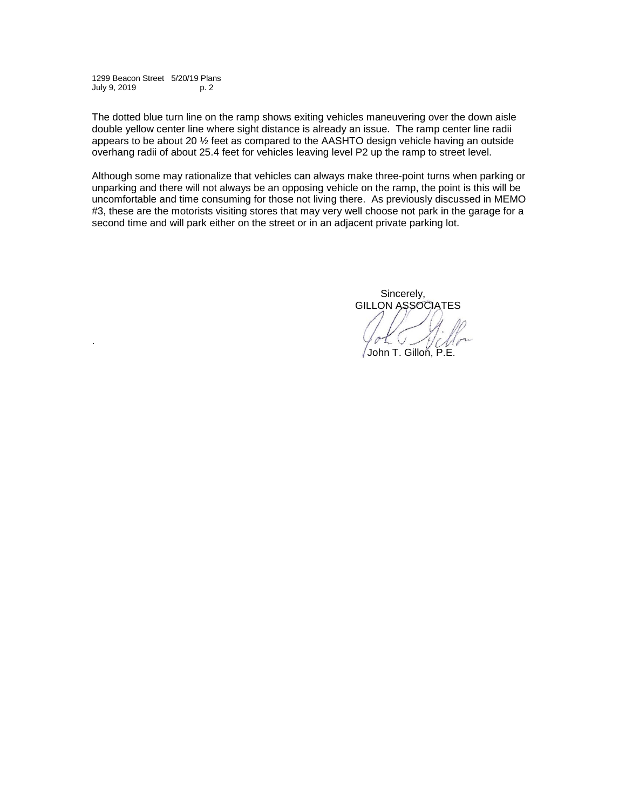1299 Beacon Street 5/20/19 Plans July 9, 2019 p. 2

.

The dotted blue turn line on the ramp shows exiting vehicles maneuvering over the down aisle double yellow center line where sight distance is already an issue. The ramp center line radii appears to be about 20 ½ feet as compared to the AASHTO design vehicle having an outside overhang radii of about 25.4 feet for vehicles leaving level P2 up the ramp to street level.

Although some may rationalize that vehicles can always make three-point turns when parking or unparking and there will not always be an opposing vehicle on the ramp, the point is this will be uncomfortable and time consuming for those not living there. As previously discussed in MEMO #3, these are the motorists visiting stores that may very well choose not park in the garage for a second time and will park either on the street or in an adjacent private parking lot.

> Sincerely, GILLON ASSOCIATES

John T. Gillon, P.E.